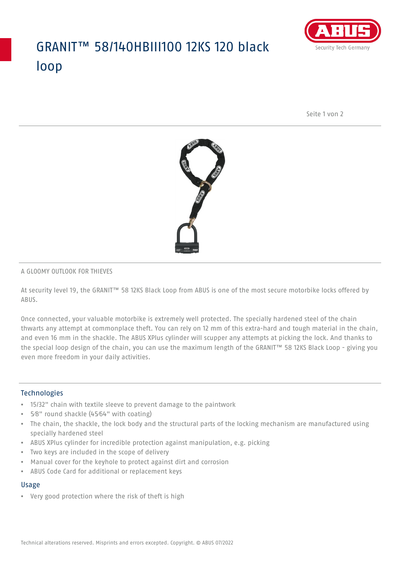## GRANIT™ 58/140HBIII100 12KS 120 black loop



Seite 1 von 2



#### A GLOOMY OUTLOOK FOR THIEVES

At security level 19, the GRANIT™ 58 12KS Black Loop from ABUS is one of the most secure motorbike locks offered by ABUS.

Once connected, your valuable motorbike is extremely well protected. The specially hardened steel of the chain thwarts any attempt at commonplace theft. You can rely on 12 mm of this extra-hard and tough material in the chain, and even 16 mm in the shackle. The ABUS XPlus cylinder will scupper any attempts at picking the lock. And thanks to the special loop design of the chain, you can use the maximum length of the GRANIT™ 58 12KS Black Loop - giving you even more freedom in your daily activities.

#### **Technologies**

- 15/32" chain with textile sleeve to prevent damage to the paintwork
- 5⁄8" round shackle (45⁄64" with coating)
- The chain, the shackle, the lock body and the structural parts of the locking mechanism are manufactured using specially hardened steel
- ABUS XPlus cylinder for incredible protection against manipulation, e.g. picking
- Two keys are included in the scope of delivery
- Manual cover for the keyhole to protect against dirt and corrosion
- ABUS Code Card for additional or replacement keys

## Usage

• Very good protection where the risk of theft is high